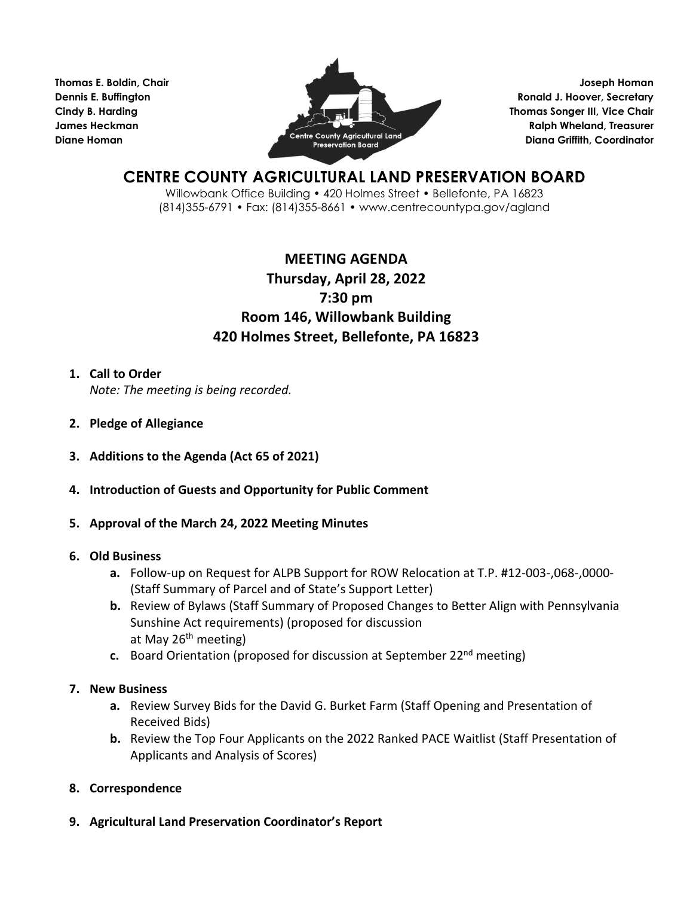**Thomas E. Boldin, Chair Dennis E. Buffington Cindy B. Harding James Heckman Diane Homan**



**Joseph Homan Ronald J. Hoover, Secretary Thomas Songer III, Vice Chair Ralph Wheland, Treasurer Diana Griffith, Coordinator**

# **CENTRE COUNTY AGRICULTURAL LAND PRESERVATION BOARD**

Willowbank Office Building • 420 Holmes Street • Bellefonte, PA 16823 (814)355-6791 • Fax: (814)355-8661 • www.centrecountypa.gov/agland

## **MEETING AGENDA Thursday, April 28, 2022 7:30 pm Room 146, Willowbank Building 420 Holmes Street, Bellefonte, PA 16823**

### **1. Call to Order**

*Note: The meeting is being recorded.* 

- **2. Pledge of Allegiance**
- **3. Additions to the Agenda (Act 65 of 2021)**
- **4. Introduction of Guests and Opportunity for Public Comment**
- **5. Approval of the March 24, 2022 Meeting Minutes**

### **6. Old Business**

- **a.** Follow-up on Request for ALPB Support for ROW Relocation at T.P. #12-003-,068-,0000- (Staff Summary of Parcel and of State's Support Letter)
- **b.** Review of Bylaws (Staff Summary of Proposed Changes to Better Align with Pennsylvania Sunshine Act requirements) (proposed for discussion at May 26<sup>th</sup> meeting)
- **c.** Board Orientation (proposed for discussion at September 22nd meeting)

### **7. New Business**

- **a.** Review Survey Bids for the David G. Burket Farm (Staff Opening and Presentation of Received Bids)
- **b.** Review the Top Four Applicants on the 2022 Ranked PACE Waitlist (Staff Presentation of Applicants and Analysis of Scores)
- **8. Correspondence**
- **9. Agricultural Land Preservation Coordinator's Report**